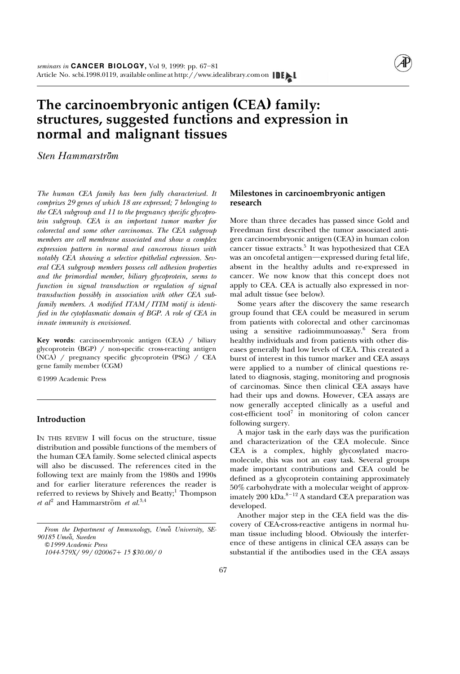

# **The carcinoembryonic antigen (CEA) family: structures, suggested functions and expression in normal and malignant tissues**

*.. Sten Hammarstrom*

*The human CEA family has been fully characterized. It comprizes 29 genes of which 18 are expressed; 7 belonging to the CEA subgroup and 11 to the pregnancy specific glycoprotein subgroup. CEA is an important tumor marker for colorectal and some other carcinomas. The CEA subgroup members are cell membrane associated and show a complex expression pattern in normal and cancerous tissues with notably CEA showing a selective epithelial expression. Several CEA subgroup members possess cell adhesion properties and the primordial member, biliary glycoprotein, seems to function in signal transduction or regulation of signal transduction possibly in association with other CEA subfamily members. A modified ITAM / ITIM motif is identified in the cytoplasmatic domain of BGP. A role of CEA in innate immunity is envisioned.*

**Key words**: carcinoembryonic antigen (CEA) / biliary glycoprotein (BGP) / non-specific cross-reacting antigen  $(NCA)$  / pregnancy specific glycoprotein  $(PSG)$  / CEA gene family member (CGM)

Q1999 Academic Press

# **Introduction**

IN THIS REVIEW I will focus on the structure, tissue distribution and possible functions of the members of the human CEA family. Some selected clinical aspects will also be discussed. The references cited in the following text are mainly from the 1980s and 1990s and for earlier literature references the reader is referred to reviews by Shively and Beatty;<sup>1</sup> Thompson *[et al](#page-11-0)*<sup>2</sup> and Hammarström *et al.*<sup>3,4</sup>

From the Department of Immunology, Umea University, SE-*90185 Umea, Sweden* ˚ <sup>Q</sup>*1999 Academic Press 1044-579X*r*99*r*020067*q*15 \$30.00*r*0*

# **Milestones in carcinoembryonic antigen research**

More than three decades has passed since Gold and Freedman first described the tumor associated antigen carcinoembryonic antigen (CEA) in human colon cancer tissue extracts. $5$  It was hypothesized that CEA was an oncofetal antigen—expressed during fetal life, absent in the healthy adults and re-expressed in cancer. We now know that this concept does not apply to CEA. CEA is actually also expressed in normal adult tissue (see below).

Some years after the discovery the same research group found that CEA could be measured in serum from patients with colorectal and other carcinomas using a sensitive radioimmunoassay.<sup>6</sup> Sera from healthy individuals and from patients with other diseases generally had low levels of CEA. This created a burst of interest in this tumor marker and CEA assays were applied to a number of clinical questions related to diagnosis, staging, monitoring and prognosis of carcinomas. Since then clinical CEA assays have had their ups and downs. However, CEA assays are now generally [acce](#page-11-0)pted clinically as a useful and  $\cosh$ -efficient tool<sup>7</sup> in monitoring of colon cancer following surgery.

A major task in the early days was the purification and characterization of the CEA molecule. Since CEA is a complex, highly glycosylated macromolecule, this was not an easy task. Several groups made important contributions and CEA could be defined as a glycoprotein containing approximately 50% carbohydrate with a molecular weight of approximately 200 kDa. $8-12$  A standard CEA preparation was developed.

Another major step in the CEA field was the discovery of CEA-cross-reactive antigens in normal human tissue including blood. Obviously the interference of these antigens in clinical CEA assays can be substantial if the antibodies used in the CEA assays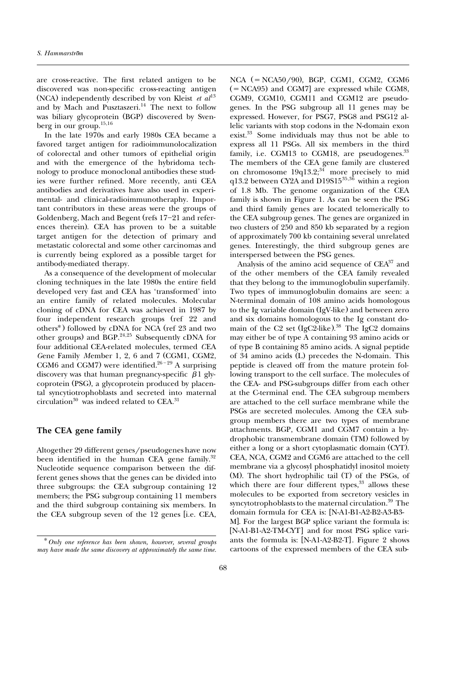are cross-reactive. The first related antigen to be discovered was non-specific cross-reacting antigen (NCA) independently described b[y von Kleist](#page-11-0) *et al*<sup>13</sup> and by Mach and Pusztaszeri.<sup>14</sup> The next to follow was biliary glycoprotein (BGP) discovered by Svenberg in our grou[p.15,16](#page-12-0)

In the late 1970s and early 1980s CEA became a favored target antigen for radioimmunolocalization of colorectal and other tumors of epithelial origin and with the emergence of the hybridoma technology to produce monoclonal antibodies these studies were further refined. More recently, anti CEA antibodies and derivatives have also used in experimental- and clinical-radioimmunotheraphy. Important contributors in these areas were the groups of Goldenberg, Mach and Begent (refs  $17-21$  and references therein). CEA has proven to be a suitable target antigen for the detection of primary and metastatic colorectal and some other carcinomas and is currently being explored as a possible target for antibody-mediated therapy.

As a consequence of the development of molecular cloning techniques in the late 1980s the entire field developed very fast and CEA has 'transformed' into an entire family of related molecules. Molecular cloning of cDNA for CEA was achieved in 1987 by four independent research groups (ref 22 and others<sup>\*</sup>) followed by cDNA for NCA (ref 23 and two other groups) and BG[P.](#page-12-0) $^{24,25}$  Subsequently cDNA for four additional CEA-related molecules, termed *C*EA *Gene Family Member 1, 2, 6 and 7 (CGM1, CGM2,* CGM6 and CGM7) were identified.  $26 - 29$  A surprising discovery was that human pregnancy-specific  $\beta$ 1 glycoprotein (PSG), a glycoprotein produced by placental syncytiotrophoblasts and secreted into maternal circulation<sup>30</sup> was indeed related to CEA.<sup>[31](#page-12-0)</sup>

# **The CEA gene family**

Altogether 29 different genes/pseudogenes have now been identified in the human CEA gene family.<sup>32</sup> Nucleotide sequence comparison between the different genes shows that the genes can be divided into three subgroups: the CEA subgroup containing 12 members; the PSG subgroup containing 11 members and the third subgroup containing six members. In the CEA subgroup seven of the 12 genes [i.e. CEA,

 $NCA$  (=  $NCA50/90$ ), BGP, CGM1, CGM2, CGM6  $(= NCA95)$  and CGM7] are expressed while CGM8, CGM9, CGM10, CGM11 and CGM12 are pseudogenes. In the PSG subgroup all 11 genes may be expressed. However, for PSG7, PSG8 and PSG12 allelic variants with stop codons in the N-domain exon exi[st.33](#page-12-0) Some individuals may thus not be able to express all 11 PSGs. All six members in the third family, i.e. CGM13 to CGM18, are pseudogenes.<sup>33</sup> The members of the CE[A ge](#page-12-0)ne family are clustered on chromosome  $19q13.2;^{34}$  more precisely to mid q13.2 between CY2A and D19S15<sup>[35,36](#page-12-0)</sup> within a region of 1.8 Mb. The genome organization of the CEA family is shown i[n Figure 1.](#page-2-0) As can be seen the PSG and third family genes are located telomerically to the CEA subgroup genes. The genes are organized in two clusters of 250 and 850 kb separated by a region of approximately 700 kb containing several unrelated genes. Interestingly, the third subgroup genes are interspersed between the PSG genes.

Analysis of the amino acid sequence of CEA<sup>37</sup> and of the other members of the CEA family revealed that they belong to the immunoglobulin superfamily. Two types of immunoglobulin domains are seen: a N-terminal domain of 108 amino acids homologous to the Ig variable domain (IgV-like) and between zero and six domains homologous to the Ig constant domain of the C2 set  $(IgC2$ -like)[.](#page-12-0)<sup>38</sup> The IgC2 domains may either be of type A containing 93 amino acids or of type B containing 85 amino acids. A signal peptide of 34 amino acids (L) precedes the N-domain. This peptide is cleaved off from the mature protein following transport to the cell surface. The molecules of the CEA- and PSG-subgroups differ from each other at the C-terminal end. The CEA subgroup members are attached to the cell surface membrane while the PSGs are secreted molecules. Among the CEA subgroup members there are two types of membrane attachments. BGP, CGM1 and CGM7 contain a hydrophobic transmembrane domain (TM) followed by either a long or a short cytoplasmatic domain (CYT). CEA, NCA, CGM2 and CGM6 are attached to the cell membrane via a glycosyl phosphatidyl inositol moiety  $(M)$ . The short hydrophilic tail  $(T)$  of the PSGs, of which there are four different types, $33$  allows these molecules to be exported from secretory vesicles in syncytotrophoblasts to the maternal circulation.<sup>39</sup> The domain formula for CEA is: [N-A1-B1-A2-B2-A3-B3-

M]. For the largest BGP splice variant the formula is: [N-A1-B1-A2-TM-CYT] and for most PSG splice variants the formula is:  $[N-A1-A2-B2-T]$ . Figure 2 shows cartoons of the expressed members of the CEA sub-

<sup>U</sup>*Only one reference has been shown, however, several groups may have made the same discovery at approximately the same time.*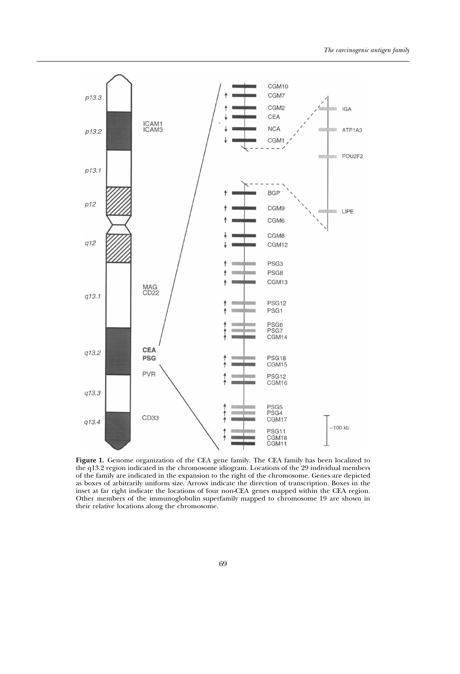<span id="page-2-0"></span>

**Figure 1.** Genome organization of the CEA gene family. The CEA family has been localized to the q13.2 region indicated in the chromosome idiogram. Locations of the 29 individual members of the family are indicated in the expansion to the right of the chromosome. Genes are depicted as boxes of arbitrarily uniform size. Arrows indicate the direction of transcription. Boxes in the inset at far right indicate the locations of four non-CEA genes mapped within the CEA region. Other members of the immunoglobulin superfamily mapped to chromosome 19 are shown in their relative locations along the chromosome.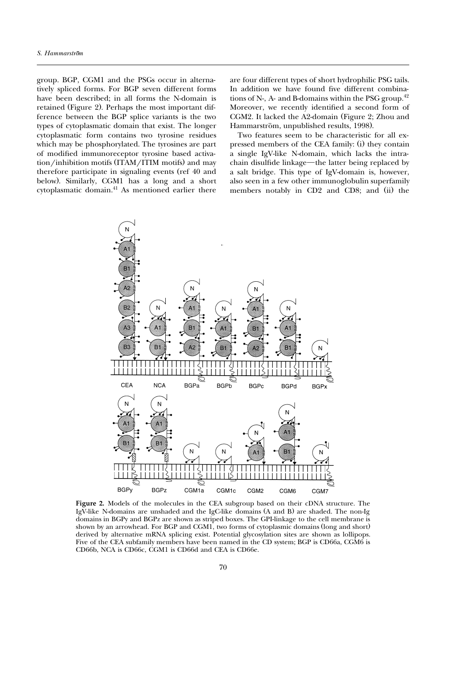<span id="page-3-0"></span>group. BGP, CGM1 and the PSGs occur in alternatively spliced forms. For BGP seven different forms have been described; in all forms the N-domain is retained (Figure 2). Perhaps the most important difference between the BGP splice variants is the two types of cytoplasmatic domain that exist. The longer cytoplasmatic form contains two tyrosine residues which may be phosphorylated. The tyrosines are part of modified immunoreceptor tyrosine based activation/inhibition motifs (ITAM/ITIM motifs) and may therefore participate in signaling events (ref 40 and below). Similarly, CGM1 has a long and a short cytoplasmatic domai[n.41](#page-12-0) As mentioned earlier there

are four different types of short hydrophilic PSG tails. In addition we have found five different combinations of N-, A- and B-domains within the PSG group. $42$ Moreover, we recently identified a second form of CGM2. It lacked the A2-domain (Figure 2; Zhou and Hammarström, unpublished results, 1998).

Two features seem to be characteristic for all expressed members of the CEA family: (i) they contain a single IgV-like N-domain, which lacks the intrachain disulfide linkage—the latter being replaced by a salt bridge. This type of IgV-domain is, however, also seen in a few other immunoglobulin superfamily members notably in CD2 and CD8; and (ii) the



**Figure 2.** Models of the molecules in the CEA subgroup based on their cDNA structure. The IgV-like N-domains are unshaded and the IgC-like domains  $(A \text{ and } B)$  are shaded. The non-Ig domains in BGPy and BGPz are shown as striped boxes. The GPI-linkage to the cell membrane is shown by an arrowhead. For BGP and CGM1, two forms of cytoplasmic domains (long and short) derived by alternative mRNA splicing exist. Potential glycosylation sites are shown as lollipops. Five of the CEA subfamily members have been named in the CD system; BGP is CD66a, CGM6 is CD66b, NCA is CD66c, CGM1 is CD66d and CEA is CD66e.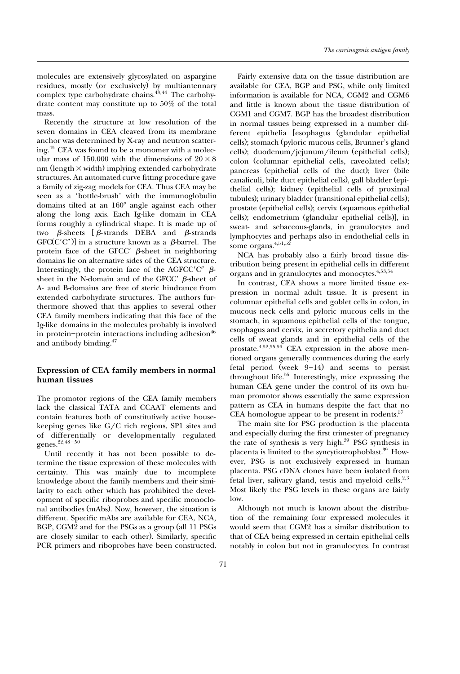molecules are extensively glycosylated on aspargine residues, mostly (or exclusively) by multiantennary complex type carbohydrate chains.<sup>43,44</sup> The carbohydrate content may constitute up to 50% of the total mass.

Recently the structure at low resolution of the seven domains in CEA cleaved from its membrane anchor was determined by X-ray and neutron scattering[.45](#page-13-0) CEA was found to be a monomer with a molecular mass of 150,000 with the dimensions of  $20\times8$ nm (length  $\times$  width) implying extended carbohydrate structures. An automated curve fitting procedure gave a family of zig-zag models for CEA. Thus CEA may be seen as a 'bottle-brush' with the immunoglobulin domains tilted at an  $160^{\circ}$  angle against each other along the long axis. Each Ig-like domain in CEA forms roughly a cylindrical shape. It is made up of two  $\beta$ -sheets [ $\beta$ -strands DEBA and  $\beta$ -strands  $GFC(C'C'')$ ] in a structure known as a  $\beta$ -barrel. The protein face of the GFCC $\prime$   $\beta$ -sheet in neighboring domains lie on alternative sides of the CEA structure. Interestingly, the protein face of the AGFCC'C"  $\beta$ sheet in the N-domain and of the GFCC $\prime$   $\beta$ -sheet of A- and B-domains are free of steric hindrance from extended carbohydrate structures. The authors furthermore showed that this applies to several other CEA family members indicating that this face of the Ig-like domains in the molecules probably is involved in protein-protein interactions including adhesion<sup>46</sup> and antibody binding[.47](#page-13-0)

# **Expression of CEA family members in normal human tissues**

The promotor regions of the CEA family members lack the classical TATA and CCAAT elements and contain features both of constitutively active housekeeping genes like  $G/C$  rich regions, SP1 sites and of diff[erentia](#page-13-0)lly or developmentally regulated genes.<sup>22,48-50</sup>

Until recently it has not been possible to determine the tissue expression of these molecules with certainty. This was mainly due to incomplete knowledge about the family members and their similarity to each other which has prohibited the development of specific riboprobes and specific monoclonal antibodies (mAbs). Now, however, the situation is different. Specific mAbs are available for CEA, NCA, BGP, CGM2 and for the PSGs as a group (all 11 PSGs) are closely similar to each other). Similarly, specific PCR primers and riboprobes have been constructed.

Fairly extensive data on the tissue distribution are available for CEA, BGP and PSG, while only limited information is available for NCA, CGM2 and CGM6 and little is known about the tissue distribution of CGM1 and CGM7. BGP has the broadest distribution in normal tissues being expressed in a number different epithelia [esophagus (glandular epithelial cells); stomach (pyloric mucous cells, Brunner's gland cells); duodenum/jejunum/ileum (epithelial cells); colon (columnar epithelial cells, caveolated cells); pancreas (epithelial cells of the duct); liver (bile canaliculi, bile duct epithelial cells), gall bladder (epithelial cells); kidney (epithelial cells of proximal tubules); urinary bladder (transitional epithelial cells); prostate (epithelial cells); cervix (squamous epithelial cells); endometrium (glandular epithelial cells)], in sweat- and sebaceous-glands, in granulocytes and lymphocytes and perhaps also in endothelial cells in some organs. $4,51,52$  $4,51,52$ 

NCA has probably also a fairly broad tissue distribution being present in epithelial cells in different organs and in granulocytes and monocytes.<sup>4,53,54</sup>

In contrast, CEA shows a more limited tissue expression in normal adult tissue. It is present in columnar epithelial cells and goblet cells in colon, in mucous neck cells and pyloric mucous cells in the stomach, in squamous epithelial cells of the tongue, esophagus and cervix, in secretory epithelia and duct cells of sweat glands and in epithelial cells of the prostat[e.4,](#page-11-0)[52,55,56](#page-13-0) CEA expression in the above mentioned organs generally commences during the early fetal period (week  $9-14$ ) and seems to persist throughout life.<sup>55</sup> Interestingly, mice expressing the human CEA gene under the control of its own human promotor shows essentially the same expression pattern as CEA in humans despite the fact that no CEA homologue appear to be present in rodents.<sup>57</sup>

The main site for PSG production is the placenta and especially during the first trimester of pregnancy the rate of synthesis is very high.<sup>39</sup> PSG synthesis in placenta is limited to the syncytiotrophoblast.<sup>39</sup> However, PSG is not exclusively expressed in human placenta. PSG cDNA clones have been isolated from fetal liver, salivary gland, testis and myeloid cells. $2,3$ Most likely the PSG levels in these organs are fairly low.

Although not much is known about the distribution of the remaining four expressed molecules it would seem that CGM2 has a similar distribution to that of CEA being expressed in certain epithelial cells notably in colon but not in granulocytes. In contrast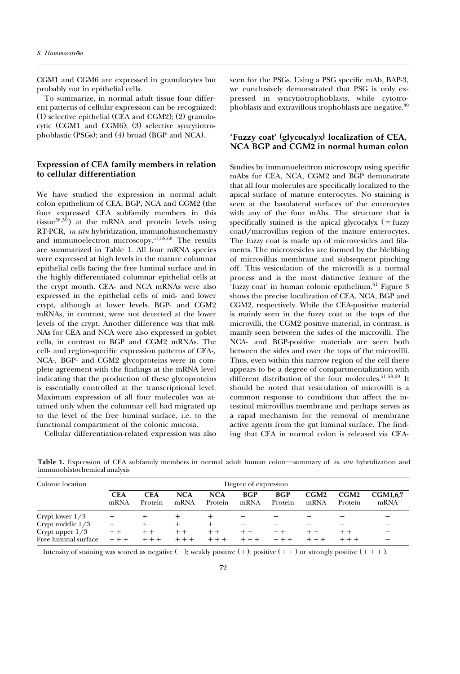CGM1 and CGM6 are expressed in granulocytes but probably not in epithelial cells.

To summarize, in normal adult tissue four different patterns of cellular expression can be recognized:  $(1)$  selective epithelial (CEA and CGM2);  $(2)$  granulocytic (CGM1 and CGM6); (3) selective syncytiotrophoblastic (PSGs); and  $(4)$  broad (BGP and NCA).

## **Expression of CEA family members in relation to cellular differentiation**

We have studied the expression in normal adult colon epithelium of CEA, BGP, NCA and CGM2 (the four expressed CEA subfamily members in this tissu[e](#page-13-0)<sup>58,59</sup>) at the mRNA and protein levels using RT-PCR, *in situ* hybridization, immunohistochemistry and immunoelectron microscop[y.51,58,60](#page-13-0) The results are summarized in Table 1. All four mRNA species were expressed at high levels in the mature columnar epithelial cells facing the free luminal surface and in the highly differentiated columnar epithelial cells at the crypt mouth. CEA- and NCA mRNAs were also expressed in the epithelial cells of mid- and lower crypt, although at lower levels. BGP- and CGM2 mRNAs, in contrast, were not detected at the lower levels of the crypt. Another difference was that mR-NAs for CEA and NCA were also expressed in goblet cells, in contrast to BGP and CGM2 mRNAs. The cell- and region-specific expression patterns of CEA-, NCA-, BGP- and CGM2 glycoproteins were in complete agreement with the findings at the mRNA level indicating that the production of these glycoproteins is essentially controlled at the transcriptional level. Maximum expression of all four molecules was attained only when the columnar cell had migrated up to the level of the free luminal surface, i.e. to the functional compartment of the colonic mucosa.

Cellular differentiation-related expression was also

seen for the PSGs. Using a PSG specific mAb, BAP-3, we conclusively demonstrated that PSG is only expressed in syncytiotrophoblasts, while cytotrophoblasts and extravillous trophoblasts are negative.<sup>39</sup>

# 'Fuzzy coat' (glycocalyx) localization of CEA, **NCA BGP and CGM2 in normal human colon**

Studies by immunoelectron microscopy using specific mAbs for CEA, NCA, CGM2 and BGP demonstrate that all four molecules are specifically localized to the apical surface of mature enterocytes. No staining is seen at the basolateral surfaces of the enterocytes with any of the four mAbs. The structure that is specifically stained is the apical glycocalyx  $($  = fuzzy coat.)/microvillus region of the mature enterocytes. The fuzzy coat is made up of microvesicles and filaments. The microvesicles are formed by the blebbing of microvillus membrane and subsequent pinching off. This vesiculation of the microvilli is a normal process and is the most distinctive feature of the 'fuzzy coat' in human colonic epithelium. $61$  Figure 3 shows the precise localization of CEA, NCA, BGP and CGM2, respectively. While the CEA-positive material is mainly seen in the fuzzy coat at the tops of the microvilli, the CGM2 positive material, in contrast, is mainly seen between the sides of the microvilli. The NCA- and BGP-positive materials are seen both between the sides and over the tops of the microvilli. Thus, even within this narrow region of the cell there appears to be a degree of compartmentalization with different distribution of the four molecules.<sup>51,58,60</sup> It should be noted that vesiculation of microvilli is a common response to conditions that affect the intestinal microvillus membrane and perhaps serves as a rapid mechanism for the removal of membrane active agents from the gut luminal surface. The finding that CEA in normal colon is released via CEA-

Table 1. Expression of CEA subfamily members in normal adult human colon—summary of *in situ* hybridization and immunohistochemical analysis

| Colonic location     | Degree of expression |                       |                    |                       |                    |                       |              |                 |                         |  |
|----------------------|----------------------|-----------------------|--------------------|-----------------------|--------------------|-----------------------|--------------|-----------------|-------------------------|--|
|                      | <b>CEA</b><br>mRNA   | <b>CEA</b><br>Protein | <b>NCA</b><br>mRNA | <b>NCA</b><br>Protein | <b>BGP</b><br>mRNA | <b>BGP</b><br>Protein | CGM2<br>mRNA | CGM2<br>Protein | <b>CGM1.6.7</b><br>mRNA |  |
| Crypt lower $1/3$    |                      |                       |                    |                       |                    |                       |              |                 |                         |  |
| Crypt middle $1/3$   |                      | $^+$                  | $^+$               |                       |                    |                       |              |                 |                         |  |
| Crypt upper $1/3$    | $++$                 | $+ +$                 | $+ +$              | $+ +$                 |                    |                       |              | $++$            |                         |  |
| Free luminal surface |                      |                       |                    |                       |                    |                       |              |                 |                         |  |

Intensity of staining was scored as negative  $(-)$ ; weakly positive  $(+)$ ; positive  $(++)$  or strongly positive  $(++)$ .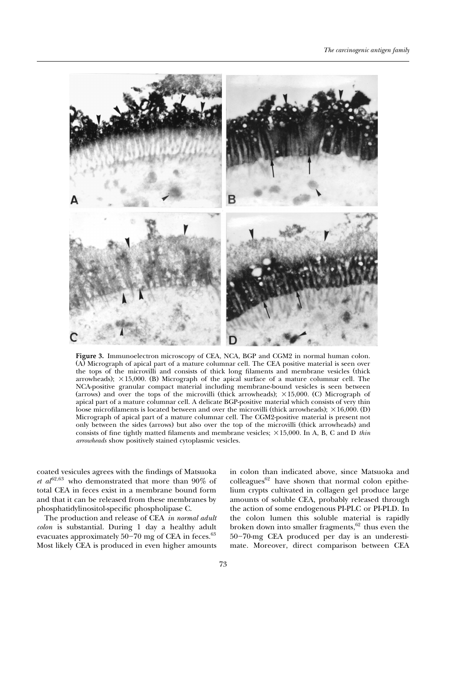

**Figure 3.** Immunoelectron microscopy of CEA, NCA, BGP and CGM2 in normal human colon. Ž . A Micrograph of apical part of a mature columnar cell. The CEA positive material is seen over the tops of the microvilli and consists of thick long filaments and membrane vesicles (thick arrowheads);  $\times$ 15,000. (B) Micrograph of the apical surface of a mature columnar cell. The NCA-positive granular compact material including membrane-bound vesicles is seen between (arrows) and over the tops of the microvilli (thick arrowheads);  $\times 15,000$ . (C) Micrograph of apical part of a mature columnar cell. A delicate BGP-positive material which consists of very thin loose microfilaments is located between and over the microvilli (thick arrowheads);  $\times$ 16,000. (D) Micrograph of apical part of a mature columnar cell. The CGM2-positive material is present not only between the sides (arrows) but also over the top of the microvilli (thick arrowheads) and consists of fine tightly matted filaments and membrane vesicles;  $\times 15,000$ . In A, B, C and D *thin arrowheads* show positively stained cytoplasmic vesicles.

coated vesicules agrees with the findings of Matsuoka  $et al^{62,63}$  $et al^{62,63}$  who demonstrated that more than 90% of total CEA in feces exist in a membrane bound form and that it can be released from these membranes by phosphatidylinositol-specific phospholipase C.

The production and release of CEA *in normal adult colon* is substantial. During 1 day a healthy adult evacuates approximately  $50-70$  mg of CEA in feces. $63$ Most likely CEA is produced in even higher amounts

in colo[n than](#page-13-0) indicated above, since Matsuoka and  $\text{colleagues}^{62}$  have shown that normal colon epithelium crypts cultivated in collagen gel produce large amounts of soluble CEA, probably released through the action of some endogenous PI-PLC or PI-PLD. In the colon lumen this soluble material is rapidly broken down into smaller fragments, $62$  thus even the 50-70-mg CEA produced per day is an underestimate. Moreover, direct comparison between CEA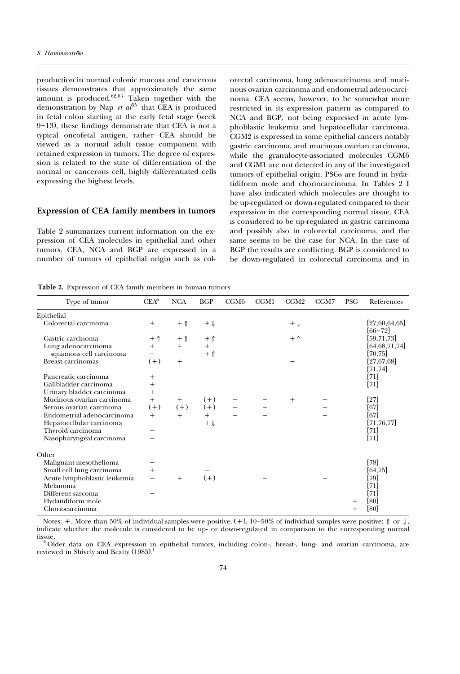<span id="page-7-0"></span>production in normal colonic mucosa and cancerous tissues demonstrates that approximately the same amount is produced. $^{62,63}$  Taken together with the demonstration by [Nap](#page-13-0) *et al*<sup>55</sup> that CEA is produced in fetal colon starting at the early fetal stage (week  $9-13$ ), these findings demonstrate that CEA is not a typical oncofetal antigen, rather CEA should be viewed as a normal adult tissue component with retained expression in tumors. The degree of expression is related to the state of differentiation of the normal or cancerous cell, highly differentiated cells expressing the highest levels.

#### **Expression of CEA family members in tumors**

Table 2 summarizes current information on the expression of CEA molecules in epithelial and other tumors. CEA, NCA and BGP are expressed in a number of tumors of epithelial origin such as colorectal carcinoma, lung adenocarcinoma and mucinous ovarian carcinoma and endometrial adenocarcinoma. CEA seems, however, to be somewhat more restricted in its expression pattern as compared to NCA and BGP, not being expressed in acute lymphoblastic leukemia and hepatocellular carcinoma. CGM2 is expressed in some epithelial cancers notably gastric carcinoma, and mucinous ovarian carcinoma, while the granulocyte-associated molecules CGM6 and CGM1 are not detected in any of the investigated tumors of epithelial origin. PSGs are found in hydatidiform mole and choriocarcinoma. In Tables 2 I have also indicated which molecules are thought to be up-regulated or down-regulated compared to their expression in the corresponding normal tissue. CEA is considered to be up-regulated in gastric carcinoma and possibly also in colorectal carcinoma, and the same seems to be the case for NCA. In the case of BGP the results are conflicting. BGP is considered to be down-regulated in colorectal carcinoma and in

| Type of tumor                | $CEA*$ | <b>NCA</b>   | <b>BGP</b>     | CGM <sub>6</sub> | CGM1 | CGM <sub>2</sub> | CGM7 | <b>PSG</b> | References                   |
|------------------------------|--------|--------------|----------------|------------------|------|------------------|------|------------|------------------------------|
| Epithelial                   |        |              |                |                  |      |                  |      |            |                              |
| Colorectal carcinoma         | $^{+}$ | $+$ 1        | $+ \downarrow$ |                  |      | $+ \Downarrow$   |      |            | [27,60,64,65]<br>$[66 - 72]$ |
| Gastric carcinoma            | $+$ 1  | $+ \uparrow$ | $+$ 1          |                  |      | $+$ 1            |      |            | [59, 71, 73]                 |
| Lung adenocarcinoma          | $^{+}$ | $+$          | $^{+}$         |                  |      |                  |      |            | [64,68,71,74]                |
| squamous cell carcinoma      |        |              | $+$ 1          |                  |      |                  |      |            | $[70, 75]$                   |
| <b>Breast carcinomas</b>     | $(+)$  | $+$          |                |                  |      |                  |      |            | [27, 67, 68]                 |
|                              |        |              |                |                  |      |                  |      |            | [71, 74]                     |
| Pancreatic carcinoma         | $^{+}$ |              |                |                  |      |                  |      |            | $[71]$                       |
| Gallbladder carcinoma        | $^{+}$ |              |                |                  |      |                  |      |            | $[71]$                       |
| Urinary bladder carcinoma    | $^{+}$ |              |                |                  |      |                  |      |            |                              |
| Mucinous ovarian carcinoma   | $+$    | $^{+}$       | $(+)$          |                  |      | $^{+}$           |      |            | $[27]$                       |
| Serous ovarian carcinoma     | $(+)$  | $(+)$        | $(+)$          |                  |      |                  |      |            | [67]                         |
| Endometrial adenocarcinoma   | $+$    | $+$          | $^{+}$         |                  |      |                  |      |            | [67]                         |
| Hepatocellular carcinoma     |        |              | $+ \downarrow$ |                  |      |                  |      |            | [71, 76, 77]                 |
| Thyroid carcinoma            |        |              |                |                  |      |                  |      |            | $[71]$                       |
| Nasopharyngeal carcinoma     |        |              |                |                  |      |                  |      |            | $[71]$                       |
| Other                        |        |              |                |                  |      |                  |      |            |                              |
| Malignant mesothelioma       |        |              |                |                  |      |                  |      |            | [78]                         |
| Small cell lung carcinoma    | $^{+}$ |              |                |                  |      |                  |      |            | [64, 75]                     |
| Acute lymphoblastic leukemia |        | $+$          | $(+)$          |                  |      |                  |      |            | $[79]$                       |
| Melanoma                     |        |              |                |                  |      |                  |      |            | $[71]$                       |
| Different sarcoma            |        |              |                |                  |      |                  |      |            | $[71]$                       |
| Hydatidiform mole            |        |              |                |                  |      |                  |      | $^+$       | [80]                         |
| Choriocarcinoma              |        |              |                |                  |      |                  |      | $^+$       | [80]                         |

**Table 2.** Expression of CEA family members in human tumors

Notes:  $+$ , More than 50% of individual samples were positive;  $(+)$ , 10–50% of individual samples were positive;  $\uparrow \circ \circ \downarrow$ , indicate whether the molecule is considered to be up- or down-regulated in comparison to the corresponding normal tissue.<br>\*Older data on CEA expression in epithelial tumors, including colon-, breast-, lung- and ovarian carcinoma, are

reviewed in Shively and Beatty  $(1985).<sup>1</sup>$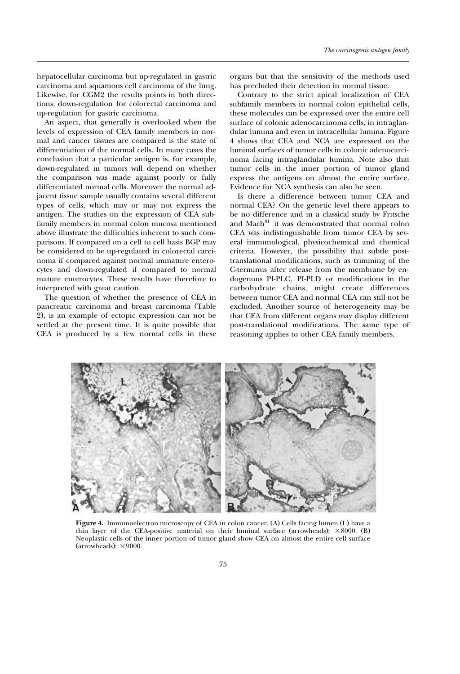hepatocellular carcinoma but up-regulated in gastric carcinoma and squamous cell carcinoma of the lung. Likewise, for CGM2 the results points in both directions; down-regulation for colorectal carcinoma and up-regulation for gastric carcinoma.

An aspect, that generally is overlooked when the levels of expression of CEA family members in normal and cancer tissues are compared is the state of differentiation of the normal cells. In many cases the conclusion that a particular antigen is, for example, down-regulated in tumors will depend on whether the comparison was made against poorly or fully differentiated normal cells. Moreover the normal adjacent tissue sample usually contains several different types of cells, which may or may not express the antigen. The studies on the expression of CEA subfamily members in normal colon mucosa mentioned above illustrate the difficulties inherent to such comparisons. If compared on a cell to cell basis BGP may be considered to be up-regulated in colorectal carcinoma if compared against normal immature enterocytes and down-regulated if compared to normal mature enterocytes. These results have therefore to interpreted with great caution.

The question of whether the presence of CEA in pancreatic carcinoma and breast carcinoma (Table 2), is an example of ectopic expression can not be. settled at the present time. It is quite possible that CEA is produced by a few normal cells in these

organs but that the sensitivity of the methods used has precluded their detection in normal tissue.

Contrary to the strict apical localization of CEA subfamily members in normal colon epithelial cells, these molecules can be expressed over the entire cell surface of colonic adenocarcinoma cells, in intraglandular lumina and even in intracellular lumina. Figure 4 shows that CEA and NCA are expressed on the luminal surfaces of tumor cells in colonic adenocarcinoma facing intraglandular lumina. Note also that tumor cells in the inner portion of tumor gland express the antigens on almost the entire surface. Evidence for NCA synthesis can also be seen.

Is there a difference between tumor CEA and normal CEA? On the genetic level there appears to be no difference and in a classical study by Fritsche and [Mach](#page-14-0)<sup>81</sup> it was demonstrated that normal colon CEA was indistinguishable from tumor CEA by several immunological, physicochemical and chemical criteria. However, the possibility that subtle posttranslational modifications, such as trimming of the C-terminus after release from the membrane by endogenous PI-PLC, PI-PLD or modifications in the carbohydrate chains, might create differences between tumor CEA and normal CEA can still not be excluded. Another source of heterogeneity may be that CEA from different organs may display different post-translational modifications. The same type of reasoning applies to other CEA family members.



**Figure 4.** Immunoelectron microscopy of CEA in colon cancer. (A) Cells facing lumen (L) have a thin layer of the CEA-positive material on their luminal surface (arrowheads);  $\times 8000$ . (B) Neoplastic cells of the inner portion of tumor gland show CEA on almost the entire cell surface (arrowheads);  $\times$ 9000.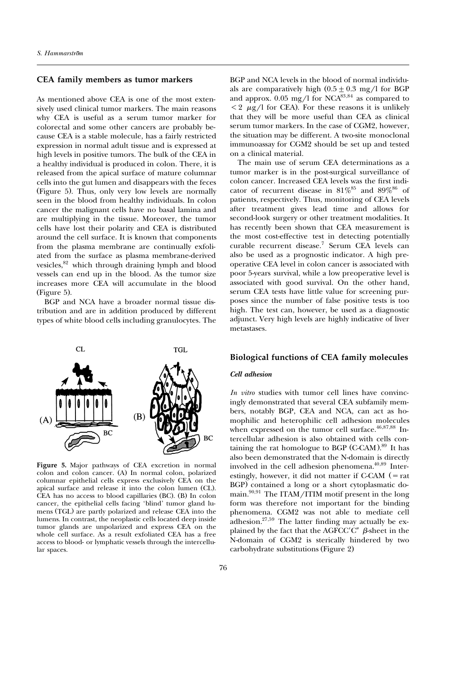# **CEA family members as tumor markers**

As mentioned above CEA is one of the most extensively used clinical tumor markers. The main reasons why CEA is useful as a serum tumor marker for colorectal and some other cancers are probably because CEA is a stable molecule, has a fairly restricted expression in normal adult tissue and is expressed at high levels in positive tumors. The bulk of the CEA in a healthy individual is produced in colon. There, it is released from the apical surface of mature columnar cells into the gut lumen and disappears with the feces (Figure 5). Thus, only very low levels are normally seen in the blood from healthy individuals. In colon cancer the malignant cells have no basal lamina and are multiplying in the tissue. Moreover, the tumor cells have lost their polarity and CEA is distributed around the cell surface. It is known that components from the plasma membrane are continually exfoliated from the surface as plasma membrane-derived vesicles,<sup>82</sup> which through draining lymph and blood vessels can end up in the blood. As the tumor size increases more CEA will accumulate in the blood  $(Figure 5)$ .

BGP and NCA have a broader normal tissue distribution and are in addition produced by different types of white blood cells including granulocytes. The

**TGL** 

 $CL$ 



**Figure 5.** Major pathways of CEA excretion in normal colon and colon cancer. (A) In normal colon, polarized columnar epithelial cells express exclusively CEA on the apical surface and release it into the colon lumen (CL). CEA has no access to blood capillaries  $(BC)$ .  $(B)$  In colon cancer, the epithelial cells facing 'blind' tumor gland lumens (TGL) are partly polarized and release CEA into the lumens. In contrast, the neoplastic cells located deep inside tumor glands are unpolarized and express CEA on the whole cell surface. As a result exfoliated CEA has a free access to blood- or lymphatic vessels through the intercellular spaces.

BGP and NCA levels in the blood of normal individuals are comparatively high  $(0.5 \pm 0.3 \text{ mg/l} \text{ for BGP})$ and approx. 0.05 mg/l for NCA $^{83,84}$  as compared to  $\langle 2 \mu g / l \rangle$  for CEA). For these reasons it is unlikely that they will be more useful than CEA as clinical serum tumor markers. In the case of CGM2, however, the situation may be different. A two-site monoclonal immunoassay for CGM2 should be set up and tested on a clinical material.

The main use of serum CEA determinations as a tumor marker is in the post-surgical surveillance of colon cancer. Increased CEA levels was the first indicator of recurrent disease in  $81\%^{85}$  and  $89\%^{86}$  of patients, respectively. Thus, monitoring of CEA levels after treatment gives lead time and allows for second-look surgery or other treatment modalities. It has recently been shown that CEA measurement is the most cost-effective test in detecting potentially curable recurrent disea[se.7](#page-11-0) Serum CEA levels can also be used as a prognostic indicator. A high preoperative CEA level in colon cancer is associated with poor 5-years survival, while a low preoperative level is associated with good survival. On the other hand, serum CEA tests have little value for screening purposes since the number of false positive tests is too high. The test can, however, be used as a diagnostic adjunct. Very high levels are highly indicative of liver metastases.

#### **Biological functions of CEA family molecules**

#### *Cell adhesion*

*In vitro* studies with tumor cell lines have convincingly demonstrated that several CEA subfamily members, notably BGP, CEA and NCA, can act as homophilic and heterophilic cell adhesion molecules when expressed on the tumor cell surface. $46,87,88$  $46,87,88$  Intercellular adhesion is also obtained with cells containing the rat homologue to BGP  $(C-CAM)$ .<sup>89</sup> It has also been demonstrated that the N-domain is directly involved in the cell adhesion phenomena. $40,89$  $40,89$  Interestingly, however, it did not matter if  $C-CAM$   $($  = rat BGP) contained a long or a short cytoplasmatic domain. $90,91$  The ITAM/ITIM motif present in the long form was therefore not important for the binding phenomena. CGM2 was not able to mediate cell adhesion.<sup>27[,59](#page-13-0)</sup> The latter finding may actually be explained by the fact that the AGFCC'C"  $\beta$ -sheet in the N-domain of CGM2 is sterically hindered by two carbohydrate substitutions (Figure 2)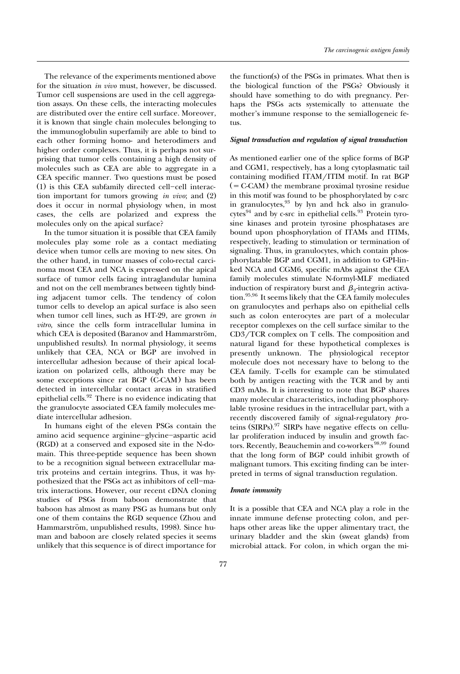The relevance of the experiments mentioned above for the situation *in vivo* must, however, be discussed. Tumor cell suspensions are used in the cell aggregation assays. On these cells, the interacting molecules are distributed over the entire cell surface. Moreover, it is known that single chain molecules belonging to the immunoglobulin superfamily are able to bind to each other forming homo- and heterodimers and higher order complexes. Thus, it is perhaps not surprising that tumor cells containing a high density of molecules such as CEA are able to aggregate in a CEA specific manner. Two questions must be posed  $(1)$  is this CEA subfamily directed cell-cell interaction important for tumors growing *in vivo*; and (2) does it occur in normal physiology when, in most cases, the cells are polarized and express the molecules only on the apical surface?

In the tumor situation it is possible that CEA family molecules play some role as a contact mediating device when tumor cells are moving to new sites. On the other hand, in tumor masses of colo-rectal carcinoma most CEA and NCA is expressed on the apical surface of tumor cells facing intraglandular lumina and not on the cell membranes between tightly binding adjacent tumor cells. The tendency of colon tumor cells to develop an apical surface is also seen when tumor cell lines, such as HT-29, are grown *in vitro,* since the cells form intracellular lumina in which CEA is deposited (Baranov and Hammarström, unpublished results). In normal physiology, it seems unlikely that CEA, NCA or BGP are involved in intercellular adhesion because of their apical localization on polarized cells, although there may be some exceptions since rat BGP (C-CAM) has been detected in intercellular contact areas in stratified epithelial cells. $92$  There is no evidence indicating that the granulocyte associated CEA family molecules mediate intercellular adhesion.

In humans eight of the eleven PSGs contain the amino acid sequence arginine-glycine-aspartic acid (RGD) at a conserved and exposed site in the N-domain. This three-peptide sequence has been shown to be a recognition signal between extracellular matrix proteins and certain integrins. Thus, it was hypothesized that the PSGs act as inhibitors of cell-matrix interactions. However, our recent cDNA cloning studies of PSGs from baboon demonstrate that baboon has almost as many PSG as humans but only one of them contains the RGD sequence (Zhou and Hammarström, unpublished results, 1998). Since human and baboon are closely related species it seems unlikely that this sequence is of direct importance for

the function  $(s)$  of the PSGs in primates. What then is the biological function of the PSGs? Obviously it should have something to do with pregnancy. Perhaps the PSGs acts systemically to attenuate the mother's immune response to the semiallogeneic fetus.

### *Signal transduction and regulation of signal transduction*

As mentioned earlier one of the splice forms of BGP and CGM1, respectively, has a long cytoplasmatic tail containing modified ITAM/ITIM motif. In rat BGP  $($  = C-CAM) the membrane proximal tyrosine residue in this motif was found to be phosphorylated by c-src in [gran](#page-14-0)ulocytes, $93$  by lyn and hck also in granulocytes<sup>94</sup> and by c-src in epithelial cells.<sup>93</sup> Protein tyrosine kinases and protein tyrosine phosphatases are bound upon phosphorylation of ITAMs and ITIMs, respectively, leading to stimulation or termination of signaling. Thus, in granulocytes, which contain phosphorylatable BGP and CGM1, in addition to GPI-linked NCA and CGM6, specific mAbs against the CEA family molecules stimulate N-formyl-MLF mediated induction of respiratory burst and  $\beta_2$ -integrin activatio[n.95,96](#page-14-0) It seems likely that the CEA family molecules on granulocytes and perhaps also on epithelial cells such as colon enterocytes are part of a molecular receptor complexes on the cell surface similar to the  $CD3/TCR$  complex on T cells. The composition and natural ligand for these hypothetical complexes is presently unknown. The physiological receptor molecule does not necessary have to belong to the CEA family. T-cells for example can be stimulated both by antigen reacting with the TCR and by anti CD3 mAbs. It is interesting to note that BGP shares many molecular characteristics, including phosphorylable tyrosine residues in the intracellular part, with a recently discovered family of *si*gnal-*r* egulatory *p*roteins  $(SIRPs).<sup>97</sup>$  SIRPs have negative effects on cellular proliferation induced by insulin and [growth](#page-14-0) factors. Recently, Beauchemin and co-workers<sup>98,99</sup> found that the long form of BGP could inhibit growth of malignant tumors. This exciting finding can be interpreted in terms of signal transduction regulation.

#### *Innate immunity*

It is a possible that CEA and NCA play a role in the innate immune defense protecting colon, and perhaps other areas like the upper alimentary tract, the urinary bladder and the skin (sweat glands) from microbial attack. For colon, in which organ the mi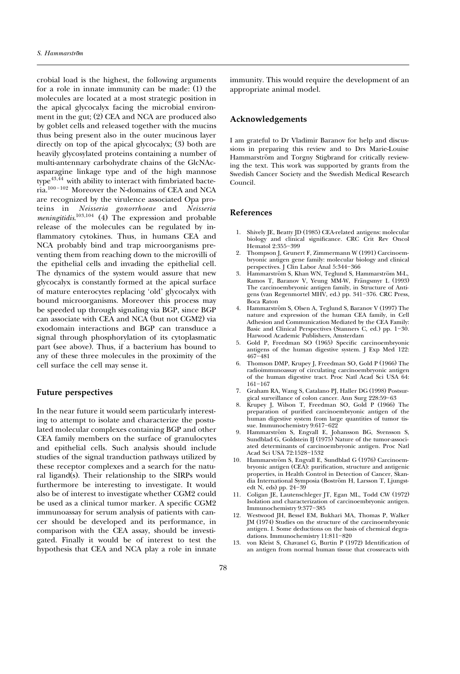<span id="page-11-0"></span>crobial load is the highest, the following arguments for a role in innate immunity can be made:  $(1)$  the molecules are located at a most strategic position in the apical glycocalyx facing the microbial environment in the gut;  $(2)$  CEA and NCA are produced also by goblet cells and released together with the mucins thus being present also in the outer mucinous layer directly on top of the apical glycocalyx;  $(3)$  both are heavily glycosylated proteins containing a number of multi-antennary carbohydrate chains of the GlcNAcasparagine linkage type and of the high mannose  $type^{43,\overline{44}}$  $type^{43,\overline{44}}$  $type^{43,\overline{44}}$  with ability to interact with fimbriated bacteria.<sup>100-102</sup> Moreover the N-domains of CEA and NCA are recognized by the virulence associated Opa proteins in *Neisseria gonorrhoeae* and *Neisseria meningitidis[.](#page-14-0)*<sup>103,104</sup> (4) The expression and probable release of the molecules can be regulated by inflammatory cytokines. Thus, in humans CEA and NCA probably bind and trap microorganisms preventing them from reaching down to the microvilli of the epithelial cells and invading the epithelial cell. The dynamics of the system would assure that new glycocalyx is constantly formed at the apical surface of mature enterocytes replacing 'old' glycocalyx with bound microorganisms. Moreover this process may be speeded up through signaling via BGP, since BGP can associate with CEA and NCA (but not CGM2) via exodomain interactions and BGP can transduce a signal through phosphorylation of its cytoplasmatic part (see above). Thus, if a bacterium has bound to any of these three molecules in the proximity of the cell surface the cell may sense it.

### **Future perspectives**

In the near future it would seem particularly interesting to attempt to isolate and characterize the postulated molecular complexes containing BGP and other CEA family members on the surface of granulocytes and epithelial cells. Such analysis should include studies of the signal tranduction pathways utilized by these receptor complexes and a search for the natural ligand(s). Their relationship to the SIRPs would furthermore be interesting to investigate. It would also be of interest to investigate whether CGM2 could be used as a clinical tumor marker. A specific CGM2 immunoassay for serum analysis of patients with cancer should be developed and its performance, in comparison with the CEA assay, should be investigated. Finally it would be of interest to test the hypothesis that CEA and NCA play a role in innate immunity. This would require the development of an appropriate animal model.

### **Acknowledgements**

I am grateful to Dr Vladimir Baranov for help and discussions in preparing this review and to Drs Marie-Louise Hammarström and Torgny Stigbrand for critically reviewing the text. This work was supported by grants from the Swedish Cancer Society and the Swedish Medical Research Council.

## **References**

- 1. Shively JE, Beatty JD (1985) CEA-related antigens: molecular biology and clinical significance. CRC Crit Rev Oncol Hematol 2:355-399
- 2. Thompson J, Grunert F, Zimmermann W (1991) Carcinoembryonic antigen gene family: molecular biology and clinical perspectives. J Clin Labor Anal 5:344-366
- 3. Hammarström S, Khan WN, Teglund S, Hammarström M-L, Ramos T, Baranov V, Yeung MM-W, Frängsmyr L (1993) The carcinoembryonic antigen family, in Structure of Antigens (van Regenmortel MHV, ed.) pp. 341-376. CRC Press, Boca Raton
- 4. Hammarström S, Olsen A, Teglund S, Baranov V (1997) The nature and expression of the human CEA family, in Cell Adhesion and Communication Mediated by the CEA Family: Basic and Clinical Perspectives (Stanners C, ed.) pp. 1-30. Harwood Academic Publishers, Amsterdam
- 5. Gold P, Freedman SO (1965) Specific carcinoembryonic antigens of the human digestive system. J Exp Med 122: 467–481
- 6. Thomson DMP, Krupey J, Freedman SO, Gold P (1966) The radioimmunoassay of circulating carcinoembryonic antigen of the human digestive tract. Proc Natl Acad Sci USA 64:  $161 - 167$
- 7. Graham RA, Wang S, Catalano PJ, Haller DG (1998) Postsurgical surveillance of colon cancer. Ann Surg 228:59-63
- 8. Krupey J, Wilson T, Freedman SO, Gold P (1966) The preparation of purified carcinoembryonic antigen of the human digestive system from large quantities of tumor tissue. Immunochemistry 9:617-622
- 9. Hammarström S, Engvall E, Johansson BG, Svensson S, Sundblad G, Goldstein IJ (1975) Nature of the tumor-associated determinants of carcinoembryonic antigen. Proc Natl Acad Sci USA 72:1528-1532
- 10. Hammarström S, Engvall E, Sundblad G (1976) Carcinoembryonic antigen (CEA): purification, structure and antigenic properties, in Health Control in Detection of Cancer, Skandia International Symposia (Boström H, Larsson T, Ljungstedt N, eds) pp.  $24 - 39$
- 11. Coligan JE, Lautenschleger JT, Egan ML, Todd CW (1972) Isolation and characterization of carcinoembryonic antigen. Immunochemistry 9:377-385
- 12. Westwood JH, Bessel EM, Bukhari MA, Thomas P, Walker JM (1974) Studies on the structure of the carcinoembryonic antigen. I. Some deductions on the basis of chemical degradations. Immunochemistry 11:811-820
- 13. von Kleist S, Chavanel G, Burtin P (1972) Identification of an antigen from normal human tissue that crossreacts with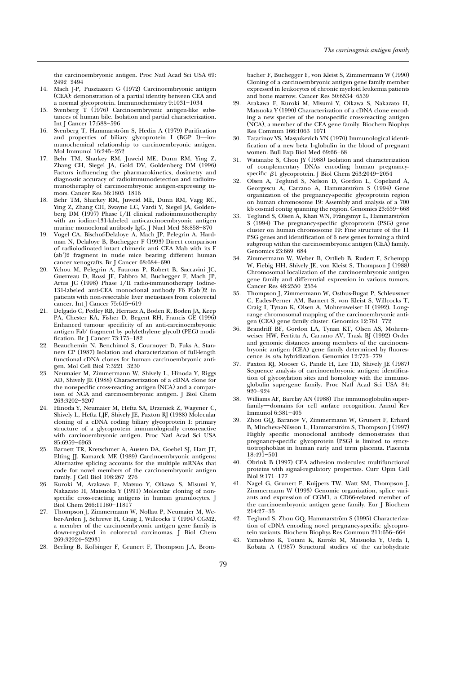<span id="page-12-0"></span>the carcinoembryonic antigen. Proc Natl Acad Sci USA 69: 2492-2494

- 14. Mach J-P, Pusztaszeri G (1972) Carcinoembryonic antigen (CEA): demonstration of a partial identity between CEA and a normal glycoprotein. Immunochemistry 9:1031-1034
- 15. Svenberg T (1976) Carcinoembryonic antigen-like substances of human bile. Isolation and partial characterization. Int J Cancer 17:588-596
- 16. Svenberg T, Hammarström S, Hedin A (1979) Purification and properties of biliary glycoprotein I (BGP I)—immunochemical relationship to carcinoembryonic antigen. Mol Immunol 16:245-252
- 17. Behr TM, Sharkey RM, Juweid ME, Dunn RM, Ying Z, Zhang CH, Siegel JA, Gold DV, Goldenberg DM (1996) Factors influencing the pharmacokinetics, dosimetry and diagnostic accuracy of radioimmunodetection and radioimmunotheraphy of carcinoembryonic antigen-expressing tumors. Cancer Res 56:1805-1816
- 18. Behr TM, Sharkey RM, Juweid ME, Dunn RM, Vagg RC, Ying Z, Zhang CH, Swayne LC, Vardi Y, Siegel JA, Goldenberg DM  $(1997)$  Phase I/II clinical radioimmunotheraphy with an iodine-131-labeled anti-carcinoembryonic antigen murine monoclonal antibody IgG. J Nucl Med  $38:858\text{--}870$
- 19. Vogel CA, Bischof-Delaloye A, Mach JP, Pelegrin A, Hardman N, Delaloye B, Buchegger F (1993) Direct comparison of radioiodinated intact chimeric anti CEA Mab with its F  $(ab')$ ? fragment in nude mice bearing different human cancer xenografts. Br J Cancer 68:684-690
- 20. Ychou M, Pelegrin A, Faurous P, Robert B, Saccavini JC, Guerreau D, Rossi JF, Fabbro M, Buchegger F, Mach JP, Artus JC (1998) Phase I/II radio-immunotherapy Iodine-131-labeled anti-CEA monoclonal antibody  $F6$   $F(ab')2$  in patients with non-resectable liver metastases from colorectal cancer. Int J Cancer 75:615-619
- 21. Delgado C, Pedley RB, Herraez A, Boden R, Boden JA, Keep PA, Chester KA, Fisher D, Begent RH, Francis GE (1996) Enhanced tumour specificity of an anti-carcinoembryonic antigen Fab' fragment by poly(ethylene glycol) (PEG) modification. Br J Cancer 73:175-182
- 22. Beauchemin N, Benchimol S, Cournoyer D, Fuks A, Stanners CP (1987) Isolation and characterization of full-length functional cDNA clones for human carcinoembryonic antigen. Mol Cell Biol 7:3221-3230
- 23. Neumaier M, Zimmermann W, Shively L, Hinoda Y, Riggs AD, Shively JE (1988) Characterization of a cDNA clone for the nonspecific cross-reacting antigen (NCA) and a comparison of NCA and carcinoembryonic antigen. J Biol Chem 263:3202-3207
- 24. Hinoda Y, Neumaier M, Hefta SA, Drzeniek Z, Wagener C, Shively L, Hefta LJF, Shively JE, Paxton RJ (1988) Molecular cloning of a cDNA coding biliary glycoprotein I: primary structure of a glycoprotein immunologically crossreactive with carcinoembryonic antigen. Proc Natl Acad Sci USA 85:6959-6963
- 25. Barnett TR, Kretschmer A, Austen DA, Goebel SJ, Hart JT, Elting JJ, Kamarck ME (1989) Carcinoembryonic antigens: Alternative splicing accounts for the multiple mRNAs that code for novel members of the carcinoembryonic antigen family. J Cell Biol  $108:267-276$
- 26. Kuroki M, Arakawa F, Matsuo Y, Oikawa S, Misumi Y, Nakazato H, Matsuoka Y (1991) Molecular cloning of nonspecific cross-reacting antigens in human granulocytes. J Biol Chem 266:11180-11817
- 27. Thompson J, Zimmermann W, Nollau P, Neumaier M, Weber-Arden J, Schrewe H, Craig I, Willcocks T (1994) CGM2, a member of the carcinoembryonic antigen gene family is down-regulated in colorectal carcinomas. J Biol Chem 269:32924-32931
- 28. Berling B, Kolbinger F, Grunert F, Thompson J.A, Brom-

bacher F, Buchegger F, von Kleist S, Zimmermann W (1990) Cloning of a carcinoembryonic antigen gene family member expressed in leukocytes of chronic myeloid leukemia patients and bone marrow. Cancer Res 50:6534-6539

- 29. Arakawa F, Kuroki M, Misumi Y, Oikawa S, Nakazato H, Matsuoka Y (1990) Characterization of a cDNA clone encoding a new species of the nonspecific cross-reacting antigen (NCA), a member of the CEA gene family. Biochem Biophys Res Commun 166:1063-1071
- 30. Tatarinov YS, Masyukevich VN (1970) Immunological identification of a new beta 1-globulin in the blood of pregnant women. Bull Exp Biol Med 69:66-68
- 31. Watanabe S, Chou JY (1988) Isolation and characterization of complementary DNAs encoding human pregnancyspecific  $\beta$ 1 glycoprotein. J Biol Chem 263:2049-2054
- 32. Olsen A, Teglund S, Nelson D, Gordon L, Copeland A, Georgescu A, Carrano A, Hammarström S (1994) Gene organization of the pregnancy-specific glycoprotein region on human chromosome 19: Assembly and analysis of a 700 kb cosmid contig spanning the region. Genomics 23:659-668
- 33. Teglund S, Olsen A, Khan WN, Frängsmyr L, Hammarström S (1994) The pregnancy-specific glycoprotein (PSG) gene cluster on human chromosome 19: Fine structure of the 11 PSG genes and identification of 6 new genes forming a third subgroup within the carcinoembryonic antigen (CEA) family. Genomics 23:669-684
- 34. Zimmermann W, Weber B, Ortlieb B, Rudert F, Schempp W, Fiebig HH, Shively JE, von Kleist S, Thompson J (1988) Chromosomal localization of the carcinoembryonic antigen gene family and differential expression in various tumors. Cancer Res 48:2550-2554
- 35. Thompson J, Zimmermann W, Osthus-Bugat P, Schleussner C, Eades-Perner AM, Barnert S, von Kleist S, Willcocks T, Craig I, Tynan K, Olsen A, Mohrenweiser H (1992). Longrange chromosomal mapping of the carcinoembryonic antigen (CEA) gene family cluster. Genomics 12:761-772
- 36. Brandriff BF, Gordon LA, Tynan KT, Olsen AS, Mohrenweiser HW, Fertitta A, Carrano AV, Trask BJ (1992) Order and genomic distances among members of the carcinoembryonic antigen (CEA) gene family determined by fluorescence *in situ* hybridization. Genomics 12:773-779
- 37. Paxton RJ, Mooser G, Pande H, Lee TD, Shively JE (1987) Sequence analysis of carcinoembryonic antigen: identification of glycosylation sites and homology with the immunoglobulin supergene family. Proc Natl Acad Sci USA 84:  $920 - 924$
- 38. Williams AF, Barclay AN (1988) The immunoglobulin superfamily-domains for cell surface recognition. Annul Rev Immunol 6:381-405
- 39. Zhou GQ, Baranov V, Zimmermann W, Grunert F, Erhard B, Mincheva-Nilsson L, Hammarström S, Thompson J (1997) Highly specific monoclonal antibody demonstrates that pregnancy-specific glycoprotein (PSG) is limited to syncytiotrophoblast in human early and term placenta. Placenta 18:491-501
- 40. Öbrink B (1997) CEA adhesion molecules: multifunctional proteins with signal-regulatory properties. Curr Opin Cell Biol 9:171-177
- Nagel G, Grunert F, Kuijpers TW, Watt SM, Thompson J, Zimmermann W (1993) Genomic organization, splice variants and expression of CGM1, a CD66-related member of the carcinoembryonic antigen gene family. Eur J Biochem 214:27-35
- 42. Teglund S, Zhou GQ, Hammarström S (1995) Characterization of cDNA encoding novel pregnancy-specific glycoprotein variants. Biochem Biophys Res Commun 211:656-664
- 43. Yamashito K, Totani K, Kuroki M, Matsuoka Y, Ueda I, Kobata A (1987) Structural studies of the carbohydrate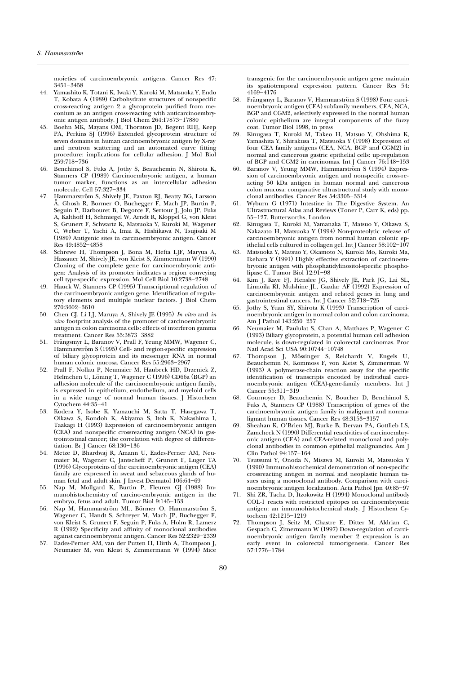<span id="page-13-0"></span>moieties of carcinoembryonic antigens. Cancer Res 47: 3451-3458

- 44. Yamashito K, Totani K, Iwaki Y, Kuroki M, Matsuoka Y, Endo T, Kobata A (1989) Carbohydrate structures of nonspecific cross-reacting antigen 2 a glycoprotein purified from meconium as an antigen cross-reacting with anticarcinoembryonic antigen antibody. J Biol Chem 264:17873-17880
- 45. Boehn MK, Mayans OM, Thornton JD, Begent RHJ, Keep PA, Perkins SJ (1996) Extended glycoprotein structure of seven domains in human carcinoembryonic antigen by X-ray and neutron scattering and an automated curve fitting procedure: implications for cellular adhesion. J Mol Biol 259:718-736
- 46. Benchimol S, Fuks A, Jothy S, Beauchemin N, Shirota K, Stanners CP (1989) Carcinoembryonic antigen, a human tumor marker, functions as an intercellular adhesion molecule. Cell 57:327-334
- 47. Hammarström S, Shively JE, Paxton RJ, Beatty BG, Larsson  $\check{A}$ , Ghosh R, Bormer O, Buchegger F, Mach JP, Burtin P, Seguin P, Darbouret B, Degorce F, Sertour J, Jolu JP, Fuks A, Kalthoff H, Schmiegel W, Arndt R, Kloppel G, von Kleist S, Grunert F, Schwartz K, Matsuoka Y, Kuroki M, Wagener C, Weber T, Yachi A, Imai K, Hishikawa N, Tsujisaki M (1989) Antigenic sites in carcinoembryonic antigen. Cancer Res 49:4852-4858
- 48. Schrewe H, Thompson J, Bona M, Hefta LJF, Maryua A, Hassauer M, Shively JE, von Kleist S, Zimmermann W (1990) Cloning of the complete gene for carcinoembryonic antigen: Analysis of its promoter indicates a region conveying cell type-specific expression. Mol Cell Biol 10:2738-2748
- 49. Hauck W, Stanners CP (1995) Transcriptional regulation of the carcinoembryonic antigen gene. Identification of regulatory elements and multiple nuclear factors. J Biol Chem 270:3602-3610
- 50. Chen CJ, Li LJ, Maruya A, Shively JE (1995) In vitro and in *vivo* footprint analysis of the promoter of carcinoembryonic antigen in colon carcinoma cells: effects of interferon gamma treatment. Cancer Res 55:3873-3882
- 51. Frängsmyr L, Baranov V, Prall F, Yeung MMW, Wagener C, Hammarström S (1995) Cell- and region-specific expression of biliary glycoprotein and its messenger RNA in normal human colonic mucosa. Cancer Res 55:2963-2967
- 52. Prall F, Nollau P, Neumaier M, Haubeck HD, Drzeniek Z, Helmchen U, Löning T, Wagener C (1996) CD66a (BGP) an adhesion molecule of the carcinoembryonic antigen family, is expressed in epithelium, endothelium, and myeloid cells in a wide range of normal human tissues. J Histochem Cytochem  $44:35-41$
- 53. Kodera Y, Isobe K, Yamauchi M, Satta T, Hasegawa T, Oikawa S, Kondoh K, Akiyama S, Itoh K, Nakashima I, Taakagi H (1993) Expression of carcinoembryonic antigen (CEA) and nonspecific crossreacting antigen (NCA) in gastrointestinal cancer; the correlation with degree of differentiation. Br J Cancer 68:130-136
- 54. Metze D, Bhardwaj R, Amann U, Eades-Perner AM, Neumaier M, Wagener C, Jantscheff P, Grunert F, Luger TA  $(1996)$  Glycoproteins of the carcinoembryonic antigen  $(CEA)$ family are expressed in sweat and sebaceous glands of human fetal and adult skin. J Invest Dermatol  $106:64-69$
- Nap M, Mollgard K, Burtin P, Fleuren GJ (1988) Immunohistochemistry of carcino-embryonic antigen in the embryo, fetus and adult. Tumor Biol  $9:145-153$
- 56. Nap M, Hammarström ML, Börmer O, Hammarström S, Wagener C, Handt S, Schreyer M, Mach JP, Buchegger F, von Kleist S, Grunert F, Seguin P, Fuks A, Holm R, Lamerz R (1992) Specificity and affinity of monoclonal antibodies against carcinoembryonic antigen. Cancer Res 52:2329-2339
- 57. Eades-Perner AM, van der Putten H, Hirth A, Thompson J, Neumaier M, von Kleist S, Zimmermann W (1994) Mice

transgenic for the carcinoembryonic antigen gene maintain its spatiotemporal expression pattern. Cancer Res 54: 4169-4176

- 58. Frängsmyr L, Baranov V, Hammarström S (1998) Four carcinoembryonic antigen (CEA) subfamily members, CEA, NCA, BGP and CGM2, selectively expressed in the normal human colonic epithelium are integral components of the fuzzy coat. Tumor Biol 1998, in press
- 59. Kinugasa T, Kuroki M, Takeo H, Matsuo Y, Ohshima K, Yamashita Y, Shirakusa T, Matsuoka Y (1998) Expression of four CEA family antigens (CEA, NCA, BGP and CGM2) in normal and cancerous gastric epithelial cells: up-regulation of BGP and CGM2 in carcinomas. Int J Cancer 76:148-153
- Baranov V, Yeung MMW, Hammarström S (1994) Expression of carcinoembryonic antigen and nonspecific cross-reacting 50 kDa antigen in human normal and cancerous colon mucosa: comparative ultrastructural study with monoclonal antibodies. Cancer Res 54:3305-3314
- 61. Wyburn G (1971) Intestine in The Digestive System. An Ultrastructural Atlas and Reviews (Toner P, Carr K, eds) pp. 55-127. Butterworths, London
- 62. Kinugasa T, Kuroki M, Yamanaka T, Matsuo Y, Oikawa S, Nakazato H, Matsuoka Y (1994) Non-proteolytic release of carcinoembryonic antigen from normal human colonic epithelial cells cultured in collagen gel. Int J Cancer  $58:102-107$
- 63. Matsuoka Y, Matsuo Y, Okamoto N, Kuroki Mo, Kuroki Ma, Ikehara Y (1991) Highly effective extraction of carcinoembryonic antigen with phosphatidylinositol-specific phospholipase C. Tumor Biol  $12:91-98$
- 64. Kim J, Kaye FJ, Henslee JG, Shively JE, Park JG, Lai SL, Linnoila RI, Mulshine JL, Gazdar AF (1992) Expression of carcinoembryonic antigen and related genes in lung and gastrointestinal cancers. Int J Cancer 52:718-725
- 65. Jothy S, Yuan SY, Shirota K (1993) Transcription of carcinoembryonic antigen in normal colon and colon carcinoma. Am J Pathol 143:250-257
- 66. Neumaier M, Paululat S, Chan A, Matthaes P, Wagener C (1993) Biliary glycoprotein, a potential human cell adhesion molecule, is down-regulated in colorectal carcinomas. Proc Natl Acad Sci USA 90:10744-10748
- 67. Thompson J, Mössinger S, Reichardt V, Engels U, Beauchemin N, Kommoss F, von Kleist S, Zimmerman W (1993) A polymerase-chain reaction assay for the specific identification of transcripts encoded by individual carcinoembryonic antigen (CEA)-gene-family members. Int J Cancer 55:311-319
- 68. Cournoyer D, Beauchemin N, Boucher D, Benchimol S, Fuks A, Stanners CP (1988) Transcription of genes of the carcinoembryonic antigen family in malignant and nonmalignant human tissues. Cancer Res  $48:3153-3157$
- 69. Sheahan K, O'Brien MJ, Burke B, Dervan PA, Gottlieb LS, Zamcheck N (1990) Differential reactivities of carcinoembryonic antigen (CEA) and CEA-related monoclonal and polyclonal antibodies in common epithelial malignancies. Am J Clin Pathol 94:157-164
- 70. Tsutsumi Y, Onoda N, Misawa M, Kuroki M, Matsuoka Y (1990) Immunohistochemical demonstration of non-specific crossreacting antigen in normal and neoplastic human tissues using a monoclonal antibody. Comparison with carcinoembryonic antigen localization. Acta Pathol Jpn 40:85-97
- 71. Shi ZR, Tacha D, Itzokowitz H (1994) Monoclonal antibody COL-1 reacts with restricted epitopes on carcinoembryonic antigen: an immunohistochemical study. J Histochem Cytochem 42:1215-1219
- 72. Thompson J, Seitz M, Chastre E, Ditter M, Aldrian C, Gespach C, Zimermann W (1997) Down-regulation of carcinoembryonic antigen family member 2 expression is an early event in colorectal tumorigenesis. Cancer Res 57:1776-1784